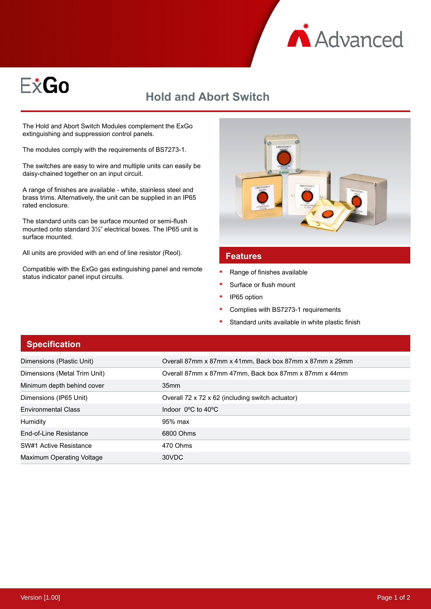



## **Hold and Abort Switch**

The Hold and Abort Switch Modules complement the ExGo extinguishing and suppression control panels.

The modules comply with the requirements of BS7273-1.

The switches are easy to wire and multiple units can easily be daisy-chained together on an input circuit.

A range of finishes are available - white, stainless steel and brass trims. Alternatively, the unit can be supplied in an IP65 rated enclosure.

The standard units can be surface mounted or semi-flush mounted onto standard 3½" electrical boxes. The IP65 unit is surface mounted.

All units are provided with an end of line resistor (Reol).

Compatible with the ExGo gas extinguishing panel and remote status indicator panel input circuits.



## **Features**

- Range of finishes available
- Surface or flush mount
- IP65 option
- Complies with BS7273-1 requirements
- Standard units available in white plastic finish

## **Specification**

| Dimensions (Plastic Unit)    | Overall 87mm x 87mm x 41mm, Back box 87mm x 87mm x 29mm |
|------------------------------|---------------------------------------------------------|
| Dimensions (Metal Trim Unit) | Overall 87mm x 87mm 47mm, Back box 87mm x 87mm x 44mm   |
| Minimum depth behind cover   | 35 <sub>mm</sub>                                        |
| Dimensions (IP65 Unit)       | Overall 72 x 72 x 62 (including switch actuator)        |
| <b>Environmental Class</b>   | Indoor $0^{\circ}$ C to 40 $^{\circ}$ C                 |
| <b>Humidity</b>              | 95% max                                                 |
| End-of-Line Resistance       | 6800 Ohms                                               |
| SW#1 Active Resistance       | 470 Ohms                                                |
| Maximum Operating Voltage    | 30VDC                                                   |